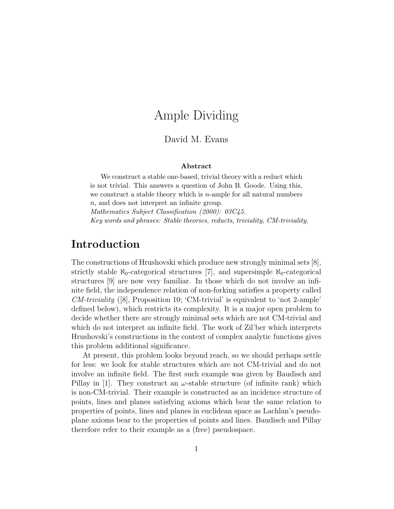# Ample Dividing

### David M. Evans

#### Abstract

We construct a stable one-based, trivial theory with a reduct which is not trivial. This answers a question of John B. Goode. Using this, we construct a stable theory which is  $n$ -ample for all natural numbers n, and does not interpret an infinite group.

Mathematics Subject Classification (2000): 03C45. Key words and phrases: Stable theories, reducts, triviality, CM-triviality.

## Introduction

The constructions of Hrushovski which produce new strongly minimal sets [8], strictly stable  $\aleph_0$ -categorical structures [7], and supersimple  $\aleph_0$ -categorical structures [9] are now very familiar. In those which do not involve an infinite field, the independence relation of non-forking satisfies a property called  $CM-triviality$  ([8], Proposition 10; 'CM-trivial' is equivalent to 'not 2-ample' defined below), which restricts its complexity. It is a major open problem to decide whether there are strongly minimal sets which are not CM-trivial and which do not interpret an infinite field. The work of Zil'ber which interprets Hrushovski's constructions in the context of complex analytic functions gives this problem additional significance.

At present, this problem looks beyond reach, so we should perhaps settle for less: we look for stable structures which are not CM-trivial and do not involve an infinite field. The first such example was given by Baudisch and Pillay in [1]. They construct an  $\omega$ -stable structure (of infinite rank) which is non-CM-trivial. Their example is constructed as an incidence structure of points, lines and planes satisfying axioms which bear the same relation to properties of points, lines and planes in euclidean space as Lachlan's pseudoplane axioms bear to the properties of points and lines. Baudisch and Pillay therefore refer to their example as a (free) pseudospace.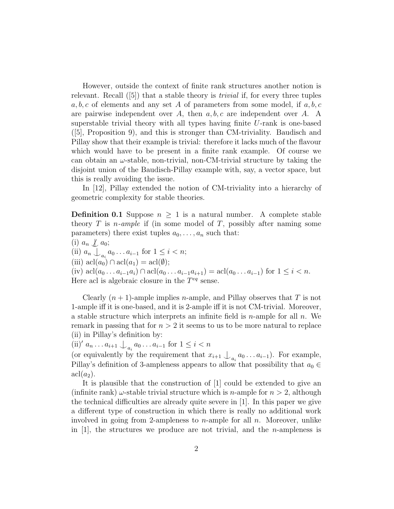However, outside the context of finite rank structures another notion is relevant. Recall  $(5)$  that a stable theory is *trivial* if, for every three tuples  $a, b, c$  of elements and any set A of parameters from some model, if  $a, b, c$ are pairwise independent over A, then  $a, b, c$  are independent over A. A superstable trivial theory with all types having finite U-rank is one-based ([5], Proposition 9), and this is stronger than CM-triviality. Baudisch and Pillay show that their example is trivial: therefore it lacks much of the flavour which would have to be present in a finite rank example. Of course we can obtain an  $\omega$ -stable, non-trivial, non-CM-trivial structure by taking the disjoint union of the Baudisch-Pillay example with, say, a vector space, but this is really avoiding the issue.

In [12], Pillay extended the notion of CM-triviality into a hierarchy of geometric complexity for stable theories.

**Definition 0.1** Suppose  $n \geq 1$  is a natural number. A complete stable theory  $T$  is *n*-ample if (in some model of  $T$ , possibly after naming some parameters) there exist tuples  $a_0, \ldots, a_n$  such that:

(i)  $a_n \nleq a_0;$ (ii)  $a_n \bigcup_{a_i} a_0 \dots a_{i-1}$  for  $1 \leq i < n;$ (iii)  $\operatorname{acl}(a_0) \cap \operatorname{acl}(a_1) = \operatorname{acl}(\emptyset);$ (iv)  $\text{acl}(a_0 \ldots a_{i-1}a_i) \cap \text{acl}(a_0 \ldots a_{i-1}a_{i+1}) = \text{acl}(a_0 \ldots a_{i-1})$  for  $1 \leq i < n$ . Here acl is algebraic closure in the  $T^{eq}$  sense.

Clearly  $(n + 1)$ -ample implies *n*-ample, and Pillay observes that T is not 1-ample iff it is one-based, and it is 2-ample iff it is not CM-trivial. Moreover, a stable structure which interprets an infinite field is  $n$ -ample for all  $n$ . We remark in passing that for  $n > 2$  it seems to us to be more natural to replace (ii) in Pillay's definition by:

(ii)'  $a_n \dots a_{i+1} \bigcup_{a_i} a_0 \dots a_{i-1}$  for  $1 \le i < n$ 

(or equivalently by the requirement that  $x_{i+1} \nightharpoonup_{a_i} a_0 \ldots a_{i-1}$ ). For example, Pillay's definition of 3-ampleness appears to allow that possibility that  $a_0 \in$  $\operatorname{acl}(a_2)$ .

It is plausible that the construction of [1] could be extended to give an (infinite rank)  $\omega$ -stable trivial structure which is *n*-ample for  $n > 2$ , although the technical difficulties are already quite severe in [1]. In this paper we give a different type of construction in which there is really no additional work involved in going from 2-ampleness to *n*-ample for all *n*. Moreover, unlike in [1], the structures we produce are not trivial, and the *n*-ampleness is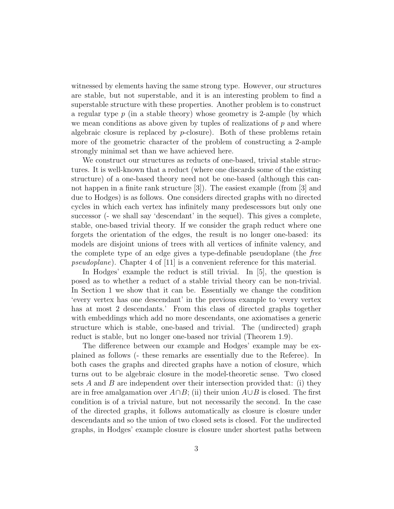witnessed by elements having the same strong type. However, our structures are stable, but not superstable, and it is an interesting problem to find a superstable structure with these properties. Another problem is to construct a regular type  $p$  (in a stable theory) whose geometry is 2-ample (by which we mean conditions as above given by tuples of realizations of  $p$  and where algebraic closure is replaced by  $p$ -closure). Both of these problems retain more of the geometric character of the problem of constructing a 2-ample strongly minimal set than we have achieved here.

We construct our structures as reducts of one-based, trivial stable structures. It is well-known that a reduct (where one discards some of the existing structure) of a one-based theory need not be one-based (although this cannot happen in a finite rank structure [3]). The easiest example (from [3] and due to Hodges) is as follows. One considers directed graphs with no directed cycles in which each vertex has infinitely many predescessors but only one successor (- we shall say 'descendant' in the sequel). This gives a complete, stable, one-based trivial theory. If we consider the graph reduct where one forgets the orientation of the edges, the result is no longer one-based: its models are disjoint unions of trees with all vertices of infinite valency, and the complete type of an edge gives a type-definable pseudoplane (the free pseudoplane). Chapter 4 of [11] is a convenient reference for this material.

In Hodges' example the reduct is still trivial. In [5], the question is posed as to whether a reduct of a stable trivial theory can be non-trivial. In Section 1 we show that it can be. Essentially we change the condition 'every vertex has one descendant' in the previous example to 'every vertex has at most 2 descendants.' From this class of directed graphs together with embeddings which add no more descendants, one axiomatises a generic structure which is stable, one-based and trivial. The (undirected) graph reduct is stable, but no longer one-based nor trivial (Theorem 1.9).

The difference between our example and Hodges' example may be explained as follows (- these remarks are essentially due to the Referee). In both cases the graphs and directed graphs have a notion of closure, which turns out to be algebraic closure in the model-theoretic sense. Two closed sets A and B are independent over their intersection provided that: (i) they are in free amalgamation over  $A \cap B$ ; (ii) their union  $A \cup B$  is closed. The first condition is of a trivial nature, but not necessarily the second. In the case of the directed graphs, it follows automatically as closure is closure under descendants and so the union of two closed sets is closed. For the undirected graphs, in Hodges' example closure is closure under shortest paths between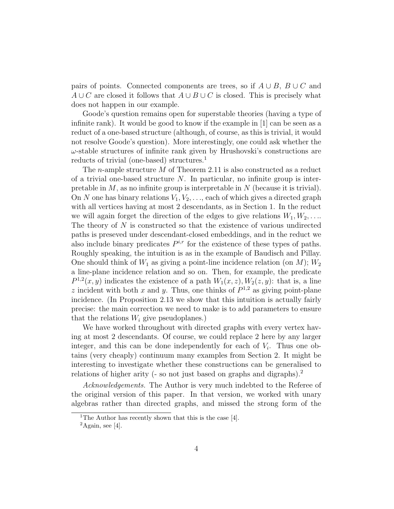pairs of points. Connected components are trees, so if  $A \cup B$ ,  $B \cup C$  and  $A \cup C$  are closed it follows that  $A \cup B \cup C$  is closed. This is precisely what does not happen in our example.

Goode's question remains open for superstable theories (having a type of infinite rank). It would be good to know if the example in [1] can be seen as a reduct of a one-based structure (although, of course, as this is trivial, it would not resolve Goode's question). More interestingly, one could ask whether the  $\omega$ -stable structures of infinite rank given by Hrushovski's constructions are reducts of trivial (one-based) structures.<sup>1</sup>

The n-ample structure M of Theorem 2.11 is also constructed as a reduct of a trivial one-based structure  $N$ . In particular, no infinite group is interpretable in  $M$ , as no infinite group is interpretable in  $N$  (because it is trivial). On N one has binary relations  $V_1, V_2, \ldots$ , each of which gives a directed graph with all vertices having at most 2 descendants, as in Section 1. In the reduct we will again forget the direction of the edges to give relations  $W_1, W_2, \ldots$ The theory of N is constructed so that the existence of various undirected paths is preseved under descendant-closed embeddings, and in the reduct we also include binary predicates  $P^{i,r}$  for the existence of these types of paths. Roughly speaking, the intuition is as in the example of Baudisch and Pillay. One should think of  $W_1$  as giving a point-line incidence relation (on M);  $W_2$ a line-plane incidence relation and so on. Then, for example, the predicate  $P^{1,2}(x, y)$  indicates the existence of a path  $W_1(x, z)$ ,  $W_2(z, y)$ : that is, a line z incident with both x and y. Thus, one thinks of  $P^{1,2}$  as giving point-plane incidence. (In Proposition 2.13 we show that this intuition is actually fairly precise: the main correction we need to make is to add parameters to ensure that the relations  $W_i$  give pseudoplanes.)

We have worked throughout with directed graphs with every vertex having at most 2 descendants. Of course, we could replace 2 here by any larger integer, and this can be done independently for each of  $V_i$ . Thus one obtains (very cheaply) continuum many examples from Section 2. It might be interesting to investigate whether these constructions can be generalised to relations of higher arity (- so not just based on graphs and digraphs).<sup>2</sup>

Acknowledgements. The Author is very much indebted to the Referee of the original version of this paper. In that version, we worked with unary algebras rather than directed graphs, and missed the strong form of the

<sup>&</sup>lt;sup>1</sup>The Author has recently shown that this is the case [4].

 ${}^{2}$ Again, see [4].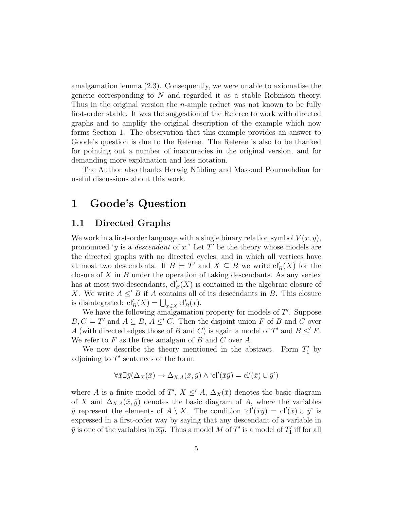amalgamation lemma (2.3). Consequently, we were unable to axiomatise the generic corresponding to N and regarded it as a stable Robinson theory. Thus in the original version the *n*-ample reduct was not known to be fully first-order stable. It was the suggestion of the Referee to work with directed graphs and to amplify the original description of the example which now forms Section 1. The observation that this example provides an answer to Goode's question is due to the Referee. The Referee is also to be thanked for pointing out a number of inaccuracies in the original version, and for demanding more explanation and less notation.

The Author also thanks Herwig Nübling and Massoud Pourmahdian for useful discussions about this work.

## 1 Goode's Question

#### 1.1 Directed Graphs

We work in a first-order language with a single binary relation symbol  $V(x, y)$ , pronounced 'y is a *descendant* of x.' Let  $T'$  be the theory whose models are the directed graphs with no directed cycles, and in which all vertices have at most two descendants. If  $B \models T'$  and  $X \subseteq B$  we write  $\text{cl}'_B(X)$  for the closure of  $X$  in  $B$  under the operation of taking descendants. As any vertex has at most two descendants,  $\operatorname{cl}'_B(X)$  is contained in the algebraic closure of X. We write  $A \leq' B$  if A contains all of its descendants in B. This closure is disintegrated:  $\text{cl}'_B(X) = \bigcup_{x \in X} \text{cl}'_B(x)$ .

We have the following amalgamation property for models of  $T'$ . Suppose  $B, C \models T'$  and  $A \subseteq B, A \leq C$ . Then the disjoint union F of B and C over A (with directed edges those of B and C) is again a model of T' and  $B \leq' F$ . We refer to  $F$  as the free amalgam of  $B$  and  $C$  over  $A$ .

We now describe the theory mentioned in the abstract. Form  $T_1'$  by adjoining to  $T'$  sentences of the form:

$$
\forall \bar{x} \exists \bar{y} (\Delta_X(\bar{x}) \to \Delta_{X,A}(\bar{x}, \bar{y}) \land \text{`cl'}(\bar{x}\bar{y}) = \text{cl'}(\bar{x}) \cup \bar{y'})
$$

where A is a finite model of T',  $X \leq A$ ,  $\Delta_X(\bar{x})$  denotes the basic diagram of X and  $\Delta_{X,A}(\bar{x},\bar{y})$  denotes the basic diagram of A, where the variables  $\bar{y}$  represent the elements of  $A \setminus X$ . The condition 'cl' $(\bar{x}\bar{y}) = cl'(\bar{x}) \cup \bar{y}'$  is expressed in a first-order way by saying that any descendant of a variable in  $\bar{y}$  is one of the variables in  $\overline{xy}$ . Thus a model M of T' is a model of  $T_1'$  iff for all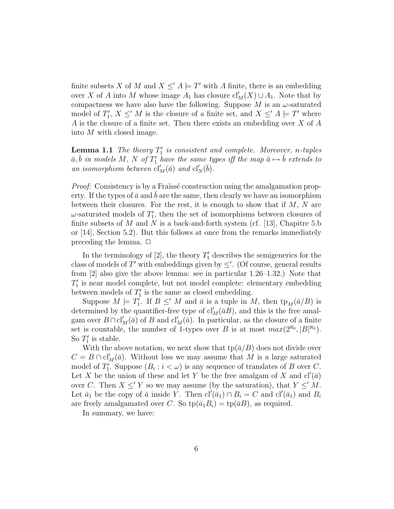finite subsets X of M and  $X \leq A \models T'$  with A finite, there is an embedding over X of A into M whose image  $A_1$  has closure  $\text{cl}'_M(X) \cup A_1$ . Note that by compactness we have also have the following. Suppose  $M$  is an  $\omega$ -saturated model of  $T_1, X \leq M$  is the closure of a finite set, and  $X \leq A \models T'$  where A is the closure of a finite set. Then there exists an embedding over X of A into M with closed image.

**Lemma 1.1** The theory  $T_1'$  is consistent and complete. Moreover, n-tuples  $\bar{a}, \bar{b}$  in models M, N of  $T_1'$  have the same types iff the map  $\bar{a} \mapsto \bar{b}$  extends to an isomorphism between  $cl'_M(\bar{a})$  and  $cl'_N(\bar{b})$ .

*Proof:* Consistency is by a Fraïssé construction using the amalgamation property. If the types of  $\bar{a}$  and b are the same, then clearly we have an isomorphism between their closures. For the rest, it is enough to show that if  $M$ ,  $N$  are  $\omega$ -saturated models of  $T_1'$ , then the set of isomorphisms between closures of finite subsets of M and N is a back-and-forth system (cf. [13], Chapitre 5.b or [14], Section 5.2). But this follows at once from the remarks immediately preceding the lemma.  $\Box$ 

In the terminology of [2], the theory  $T_1'$  describes the semigenerics for the class of models of  $T'$  with embeddings given by  $\leq'$ . (Of course, general results from [2] also give the above lemma: see in particular 1.26–1.32.) Note that  $T'_1$  is near model complete, but not model complete: elementary embedding between models of  $T_1'$  is the same as closed embedding.

Suppose  $M \models T_1'$ . If  $B \leq M$  and  $\bar{a}$  is a tuple in M, then  $tp_M(\bar{a}/B)$  is determined by the quantifier-free type of  $\text{cl}'_M(\bar{a}B)$ , and this is the free amalgam over  $B \cap \text{cl}'_M(\bar{a})$  of B and  $\text{cl}'_M(\bar{a})$ . In particular, as the closure of a finite set is countable, the number of 1-types over B is at most  $max(2^{\aleph_0}, |B|^{\aleph_0}).$ So  $T_1'$  is stable.

With the above notation, we next show that  $\text{tp}(\bar{a}/B)$  does not divide over  $C = B \cap \text{cl}'_M(\bar{a})$ . Without loss we may assume that M is a large saturated model of  $T_1'$ . Suppose  $(B_i : i < \omega)$  is any sequence of translates of B over C. Let X be the union of these and let Y be the free amalgam of X and  $cl'(\bar{a})$ over C. Then  $X \leq Y$  so we may assume (by the saturation), that  $Y \leq M$ . Let  $\bar{a}_1$  be the copy of  $\bar{a}$  inside Y. Then  $\text{cl}'(\bar{a}_1) \cap B_i = C$  and  $\text{cl}'(\bar{a}_1)$  and  $B_i$ are freely amalgamated over C. So  $\text{tp}(\bar{a}_1B_i) = \text{tp}(\bar{a}B)$ , as required.

In summary, we have: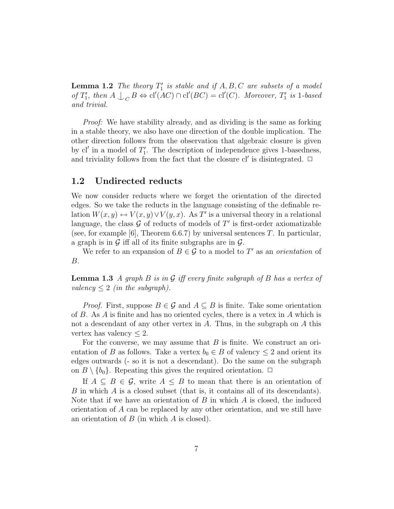**Lemma 1.2** The theory  $T_1'$  is stable and if  $A, B, C$  are subsets of a model of  $T_1'$ , then  $A \perp_C B \Leftrightarrow cl'(AC) \cap cl'(BC) = cl'(C)$ . Moreover,  $T_1'$  is 1-based and trivial.

Proof: We have stability already, and as dividing is the same as forking in a stable theory, we also have one direction of the double implication. The other direction follows from the observation that algebraic closure is given by  $cl'$  in a model of  $T'_1$ . The description of independence gives 1-basedness, and triviality follows from the fact that the closure  $cl'$  is disintegrated.  $\Box$ 

#### 1.2 Undirected reducts

We now consider reducts where we forget the orientation of the directed edges. So we take the reducts in the language consisting of the definable relation  $W(x, y) \leftrightarrow V(x, y) \vee V(y, x)$ . As T' is a universal theory in a relational language, the class  $G$  of reducts of models of  $T'$  is first-order axiomatizable (see, for example [6], Theorem 6.6.7) by universal sentences  $T$ . In particular, a graph is in  $\mathcal G$  iff all of its finite subgraphs are in  $\mathcal G$ .

We refer to an expansion of  $B \in \mathcal{G}$  to a model to T' as an *orientation* of B.

**Lemma 1.3** A graph B is in G iff every finite subgraph of B has a vertex of valency  $\leq 2$  (in the subgraph).

*Proof.* First, suppose  $B \in \mathcal{G}$  and  $A \subseteq B$  is finite. Take some orientation of  $B$ . As  $A$  is finite and has no oriented cycles, there is a vetex in  $A$  which is not a descendant of any other vertex in A. Thus, in the subgraph on A this vertex has valency  $\leq 2$ .

For the converse, we may assume that  $B$  is finite. We construct an orientation of B as follows. Take a vertex  $b_0 \in B$  of valency  $\leq 2$  and orient its edges outwards (- so it is not a descendant). Do the same on the subgraph on  $B \setminus \{b_0\}$ . Repeating this gives the required orientation.  $\Box$ 

If  $A \subseteq B \in \mathcal{G}$ , write  $A \leq B$  to mean that there is an orientation of B in which A is a closed subset (that is, it contains all of its descendants). Note that if we have an orientation of  $B$  in which  $A$  is closed, the induced orientation of A can be replaced by any other orientation, and we still have an orientation of  $B$  (in which  $A$  is closed).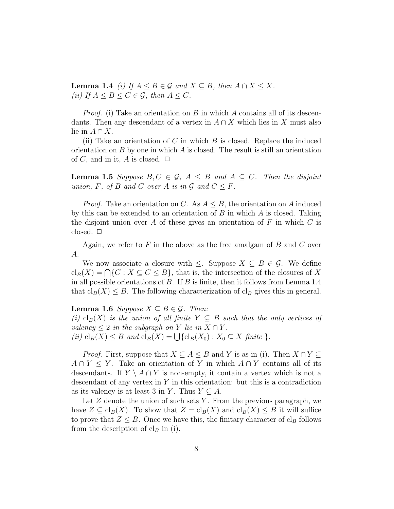**Lemma 1.4** (i) If  $A \leq B \in \mathcal{G}$  and  $X \subseteq B$ , then  $A \cap X \leq X$ . (ii) If  $A \leq B \leq C \in \mathcal{G}$ , then  $A \leq C$ .

*Proof.* (i) Take an orientation on B in which A contains all of its descendants. Then any descendant of a vertex in  $A \cap X$  which lies in X must also lie in  $A \cap X$ .

(ii) Take an orientation of  $C$  in which  $B$  is closed. Replace the induced orientation on  $B$  by one in which  $A$  is closed. The result is still an orientation of C, and in it, A is closed.  $\Box$ 

**Lemma 1.5** Suppose  $B, C \in \mathcal{G}, A \leq B$  and  $A \subseteq C$ . Then the disjoint union, F, of B and C over A is in  $\mathcal G$  and  $C \leq F$ .

*Proof.* Take an orientation on C. As  $A \leq B$ , the orientation on A induced by this can be extended to an orientation of  $B$  in which  $A$  is closed. Taking the disjoint union over A of these gives an orientation of  $F$  in which  $C$  is closed.  $\square$ 

Again, we refer to  $F$  in the above as the free amalgam of  $B$  and  $C$  over A.

We now associate a closure with  $\leq$ . Suppose  $X \subseteq B \in \mathcal{G}$ . We define  $\text{cl}_B(X) = \bigcap \{C : X \subseteq C \leq B\},\$  that is, the intersection of the closures of X in all possible orientations of  $B$ . If  $B$  is finite, then it follows from Lemma 1.4 that  $\text{cl}_B(X) \leq B$ . The following characterization of  $\text{cl}_B$  gives this in general.

**Lemma 1.6** Suppose  $X \subseteq B \in \mathcal{G}$ . Then: (i) cl<sub>B</sub>(X) is the union of all finite  $Y \subseteq B$  such that the only vertices of valency  $\leq 2$  in the subgraph on Y lie in  $X \cap Y$ . (ii)  $\text{cl}_B(X) \leq B$  and  $\text{cl}_B(X) = \bigcup \{ \text{cl}_B(X_0) : X_0 \subseteq X \text{ finite } \}.$ 

*Proof.* First, suppose that  $X \subseteq A \leq B$  and Y is as in (i). Then  $X \cap Y \subseteq$  $A \cap Y \leq Y$ . Take an orientation of Y in which  $A \cap Y$  contains all of its descendants. If  $Y \setminus A \cap Y$  is non-empty, it contain a vertex which is not a descendant of any vertex in  $Y$  in this orientation: but this is a contradiction as its valency is at least 3 in Y. Thus  $Y \subseteq A$ .

Let  $Z$  denote the union of such sets  $Y$ . From the previous paragraph, we have  $Z \subseteq \text{cl}_B(X)$ . To show that  $Z = \text{cl}_B(X)$  and  $\text{cl}_B(X) \leq B$  it will suffice to prove that  $Z \leq B$ . Once we have this, the finitary character of cl<sub>B</sub> follows from the description of  $\text{cl}_B$  in (i).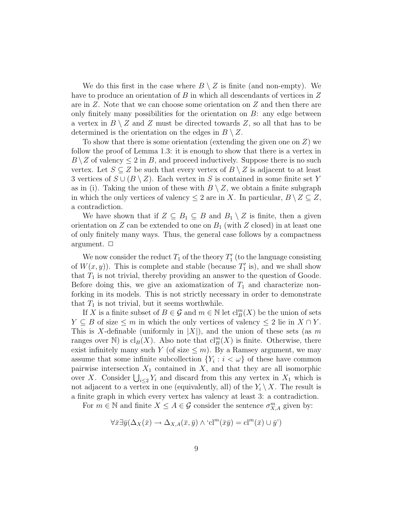We do this first in the case where  $B \setminus Z$  is finite (and non-empty). We have to produce an orientation of B in which all descendants of vertices in Z are in Z. Note that we can choose some orientation on Z and then there are only finitely many possibilities for the orientation on  $B$ : any edge between a vertex in  $B \setminus Z$  and Z must be directed towards Z, so all that has to be determined is the orientation on the edges in  $B \setminus Z$ .

To show that there is some orientation (extending the given one on  $Z$ ) we follow the proof of Lemma 1.3: it is enough to show that there is a vertex in  $B \setminus Z$  of valency  $\leq 2$  in B, and proceed inductively. Suppose there is no such vertex. Let  $S \subseteq Z$  be such that every vertex of  $B \setminus Z$  is adjacent to at least 3 vertices of  $S \cup (B \setminus Z)$ . Each vertex in S is contained in some finite set Y as in (i). Taking the union of these with  $B \setminus Z$ , we obtain a finite subgraph in which the only vertices of valency  $\leq 2$  are in X. In particular,  $B \setminus Z \subseteq Z$ , a contradiction.

We have shown that if  $Z \subseteq B_1 \subseteq B$  and  $B_1 \setminus Z$  is finite, then a given orientation on Z can be extended to one on  $B_1$  (with Z closed) in at least one of only finitely many ways. Thus, the general case follows by a compactness argument.  $\Box$ 

We now consider the reduct  $T_1$  of the theory  $T_1'$  (to the language consisting of  $W(x, y)$ ). This is complete and stable (because  $T'_1$  is), and we shall show that  $T_1$  is not trivial, thereby providing an answer to the question of Goode. Before doing this, we give an axiomatization of  $T_1$  and characterize nonforking in its models. This is not strictly necessary in order to demonstrate that  $T_1$  is not trivial, but it seems worthwhile.

If X is a finite subset of  $B \in \mathcal{G}$  and  $m \in \mathbb{N}$  let  $\text{cl}_B^m(X)$  be the union of sets  $Y \subseteq B$  of size  $\leq m$  in which the only vertices of valency  $\leq 2$  lie in  $X \cap Y$ . This is X-definable (uniformly in  $|X|$ ), and the union of these sets (as m ranges over  $\mathbb{N}$ ) is  $\text{cl}_B(X)$ . Also note that  $\text{cl}_B^m(X)$  is finite. Otherwise, there exist infinitely many such Y (of size  $\leq m$ ). By a Ramsey argument, we may assume that some infinite subcollection  $\{Y_i : i < \omega\}$  of these have common pairwise intersection  $X_1$  contained in X, and that they are all isomorphic over X. Consider  $\bigcup_{i\leq 2} Y_i$  and discard from this any vertex in  $X_1$  which is not adjacent to a vertex in one (equivalently, all) of the  $Y_i \setminus X$ . The result is a finite graph in which every vertex has valency at least 3: a contradiction.

For  $m \in \mathbb{N}$  and finite  $X \leq A \in \mathcal{G}$  consider the sentence  $\sigma_{X,A}^m$  given by:

$$
\forall \overline{x} \exists \overline{y} (\Delta_X(\overline{x}) \to \Delta_{X,A}(\overline{x}, \overline{y}) \land \text{`cl}^m(\overline{x} \overline{y}) = \text{cl}^m(\overline{x}) \cup \overline{y}')
$$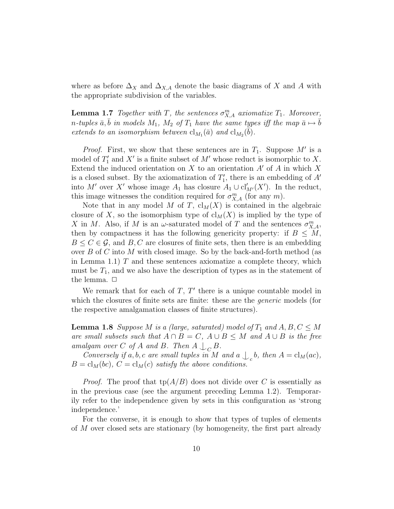where as before  $\Delta_X$  and  $\Delta_{X,A}$  denote the basic diagrams of X and A with the appropriate subdivision of the variables.

**Lemma 1.7** Together with T, the sentences  $\sigma_{X,A}^m$  axiomatize  $T_1$ . Moreover, n-tuples  $\bar{a}, \bar{b}$  in models  $M_1$ ,  $M_2$  of  $T_1$  have the same types iff the map  $\bar{a} \mapsto \bar{b}$ extends to an isomorphism between  $\text{cl}_{M_1}(\bar{a})$  and  $\text{cl}_{M_2}(\bar{b})$ .

*Proof.* First, we show that these sentences are in  $T_1$ . Suppose M' is a model of  $T_1'$  and  $X'$  is a finite subset of  $M'$  whose reduct is isomorphic to X. Extend the induced orientation on  $X$  to an orientation  $A'$  of  $A$  in which  $X$ is a closed subset. By the axiomatization of  $T_1'$ , there is an embedding of  $A'$ into M' over X' whose image  $A_1$  has closure  $A_1 \cup cl'_{M'}(X')$ . In the reduct, this image witnesses the condition required for  $\sigma_{X,A}^m$  (for any m).

Note that in any model M of T,  $\text{cl}_M(X)$  is contained in the algebraic closure of X, so the isomorphism type of  $\text{cl}_M(X)$  is implied by the type of X in M. Also, if M is an  $\omega$ -saturated model of T and the sentences  $\sigma_{X,A}^m$ , then by compactness it has the following genericity property: if  $B \leq M$ ,  $B \leq C \in \mathcal{G}$ , and B, C are closures of finite sets, then there is an embedding over  $B$  of C into M with closed image. So by the back-and-forth method (as in Lemma 1.1)  $T$  and these sentences axiomatize a complete theory, which must be  $T_1$ , and we also have the description of types as in the statement of the lemma.  $\Box$ 

We remark that for each of  $T, T'$  there is a unique countable model in which the closures of finite sets are finite: these are the *generic* models (for the respective amalgamation classes of finite structures).

**Lemma 1.8** Suppose M is a (large, saturated) model of  $T_1$  and  $A, B, C \leq M$ are small subsets such that  $A \cap B = C$ ,  $A \cup B \leq M$  and  $A \cup B$  is the free amalgam over C of A and B. Then  $A \bigcup_C B$ .

Conversely if a, b, c are small tuples in M and a  $\int_c b$ , then  $A = cl_M(ac)$ ,  $B = cl<sub>M</sub>(bc)$ ,  $C = cl<sub>M</sub>(c)$  satisfy the above conditions.

*Proof.* The proof that  $tp(A/B)$  does not divide over C is essentially as in the previous case (see the argument preceding Lemma 1.2). Temporarily refer to the independence given by sets in this configuration as 'strong independence.'

For the converse, it is enough to show that types of tuples of elements of M over closed sets are stationary (by homogeneity, the first part already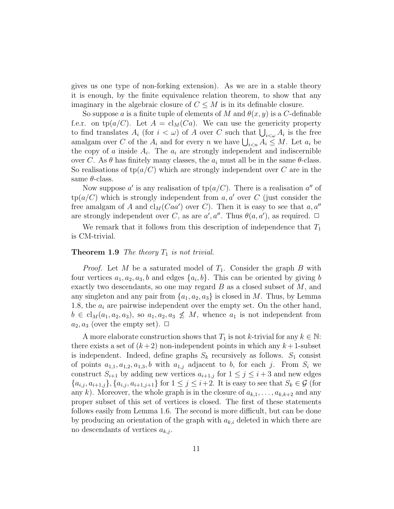gives us one type of non-forking extension). As we are in a stable theory it is enough, by the finite equivalence relation theorem, to show that any imaginary in the algebraic closure of  $C \leq M$  is in its definable closure.

So suppose a is a finite tuple of elements of M and  $\theta(x, y)$  is a C-definable f.e.r. on tp( $a/C$ ). Let  $A = cl_M(Ca)$ . We can use the genericity property to find translates  $A_i$  (for  $i < \omega$ ) of A over C such that  $\bigcup_{i < \omega} A_i$  is the free amalgam over C of the  $A_i$  and for every n we have  $\bigcup_{i \leq n} A_i \leq M$ . Let  $a_i$  be the copy of a inside  $A_i$ . The  $a_i$  are strongly independent and indiscernible over C. As  $\theta$  has finitely many classes, the  $a_i$  must all be in the same  $\theta$ -class. So realisations of  $tp(a/C)$  which are strongly independent over C are in the same  $\theta$ -class.

Now suppose a' is any realisation of  $tp(a/C)$ . There is a realisation a'' of  $tp(a/C)$  which is strongly independent from a, a' over C (just consider the free amalgam of A and  $\text{cl}_M(Caa')$  over C). Then it is easy to see that  $a, a''$ are strongly independent over C, as are  $a', a''$ . Thus  $\theta(a, a')$ , as required.  $\Box$ 

We remark that it follows from this description of independence that  $T_1$ is CM-trivial.

#### **Theorem 1.9** The theory  $T_1$  is not trivial.

*Proof.* Let M be a saturated model of  $T_1$ . Consider the graph B with four vertices  $a_1, a_2, a_3, b$  and edges  $\{a_i, b\}$ . This can be oriented by giving b exactly two descendants, so one may regard  $B$  as a closed subset of  $M$ , and any singleton and any pair from  $\{a_1, a_2, a_3\}$  is closed in M. Thus, by Lemma 1.8, the  $a_i$  are pairwise independent over the empty set. On the other hand,  $b \in cl_M(a_1, a_2, a_3)$ , so  $a_1, a_2, a_3 \nleq M$ , whence  $a_1$  is not independent from  $a_2, a_3$  (over the empty set).  $\Box$ 

A more elaborate construction shows that  $T_1$  is not k-trivial for any  $k \in \mathbb{N}$ : there exists a set of  $(k+2)$  non-independent points in which any  $k+1$ -subset is independent. Indeed, define graphs  $S_k$  recursively as follows.  $S_1$  consist of points  $a_{1,1}, a_{1,2}, a_{1,3}, b$  with  $a_{1,j}$  adjacent to b, for each j. From  $S_i$  we construct  $S_{i+1}$  by adding new vertices  $a_{i+1,j}$  for  $1 \leq j \leq i+3$  and new edges  ${a_{i,j}, a_{i+1,j}}$ ,  ${a_{i,j}, a_{i+1,j+1}}$  for  $1 \leq j \leq i+2$ . It is easy to see that  $S_k \in \mathcal{G}$  (for any k). Moreover, the whole graph is in the closure of  $a_{k,1}, \ldots, a_{k,k+2}$  and any proper subset of this set of vertices is closed. The first of these statements follows easily from Lemma 1.6. The second is more difficult, but can be done by producing an orientation of the graph with  $a_{k,i}$  deleted in which there are no descendants of vertices  $a_{k,j}$ .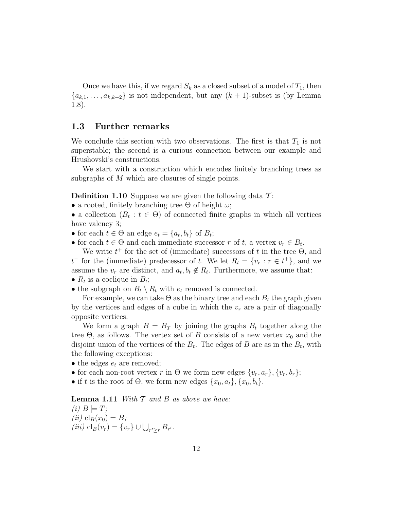Once we have this, if we regard  $S_k$  as a closed subset of a model of  $T_1$ , then  ${a_{k,1}, \ldots, a_{k,k+2}}$  is not independent, but any  $(k+1)$ -subset is (by Lemma 1.8).

#### 1.3 Further remarks

We conclude this section with two observations. The first is that  $T_1$  is not superstable; the second is a curious connection between our example and Hrushovski's constructions.

We start with a construction which encodes finitely branching trees as subgraphs of M which are closures of single points.

**Definition 1.10** Suppose we are given the following data  $\mathcal{T}$ :

- a rooted, finitely branching tree  $\Theta$  of height  $\omega$ ;
- a collection  $(B_t : t \in \Theta)$  of connected finite graphs in which all vertices have valency 3;
- for each  $t \in \Theta$  an edge  $e_t = \{a_t, b_t\}$  of  $B_t$ ;
- for each  $t \in \Theta$  and each immediate successor r of t, a vertex  $v_r \in B_t$ .

We write  $t^+$  for the set of (immediate) successors of t in the tree  $\Theta$ , and  $t^-$  for the (immediate) predecessor of t. We let  $R_t = \{v_r : r \in t^+\}$ , and we assume the  $v_r$  are distinct, and  $a_t, b_t \notin R_t$ . Furthermore, we assume that:

- $R_t$  is a coclique in  $B_t$ ;
- the subgraph on  $B_t \setminus R_t$  with  $e_t$  removed is connected.

For example, we can take  $\Theta$  as the binary tree and each  $B_t$  the graph given by the vertices and edges of a cube in which the  $v_r$  are a pair of diagonally opposite vertices.

We form a graph  $B = B<sub>T</sub>$  by joining the graphs  $B<sub>t</sub>$  together along the tree  $\Theta$ , as follows. The vertex set of B consists of a new vertex  $x_0$  and the disjoint union of the vertices of the  $B_t$ . The edges of B are as in the  $B_t$ , with the following exceptions:

- the edges  $e_t$  are removed;
- for each non-root vertex r in  $\Theta$  we form new edges  $\{v_r, a_r\}, \{v_r, b_r\};$
- if t is the root of  $\Theta$ , we form new edges  $\{x_0, a_t\}, \{x_0, b_t\}.$

**Lemma 1.11** With  $T$  and  $B$  as above we have:  $(i)$   $B \models T;$ (*ii*)  $cl_B(x_0) = B;$ (iii)  $\text{cl}_B(v_r) = \{v_r\} \cup \bigcup_{r' \geq r} B_{r'}.$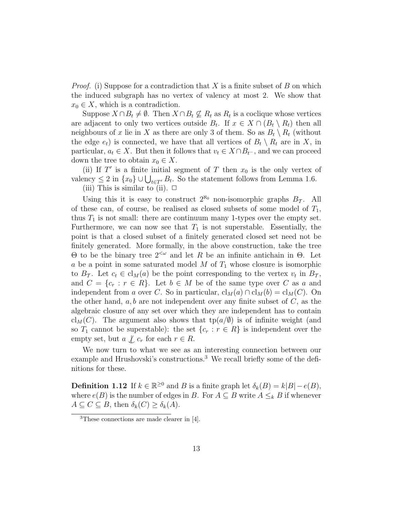*Proof.* (i) Suppose for a contradiction that X is a finite subset of B on which the induced subgraph has no vertex of valency at most 2. We show that  $x_0 \in X$ , which is a contradiction.

Suppose  $X \cap B_t \neq \emptyset$ . Then  $X \cap B_t \nsubseteq R_t$  as  $R_t$  is a coclique whose vertices are adjacent to only two vertices outside  $B_t$ . If  $x \in X \cap (B_t \setminus R_t)$  then all neighbours of x lie in X as there are only 3 of them. So as  $B_t \setminus R_t$  (without the edge  $e_t$ ) is connected, we have that all vertices of  $B_t \setminus R_t$  are in X, in particular,  $a_t \in X$ . But then it follows that  $v_t \in X \cap B_{t-}$ , and we can proceed down the tree to obtain  $x_0 \in X$ .

(ii) If  $T'$  is a finite initial segment of T then  $x_0$  is the only vertex of valency  $\leq 2$  in  $\{x_0\} \cup \bigcup_{t \in T'} B_t$ . So the statement follows from Lemma 1.6.

(iii) This is similar to (ii).  $\Box$ 

Using this it is easy to construct  $2^{\aleph_0}$  non-isomorphic graphs  $B_{\mathcal{T}}$ . All of these can, of course, be realised as closed subsets of some model of  $T_1$ , thus  $T_1$  is not small: there are continuum many 1-types over the empty set. Furthermore, we can now see that  $T_1$  is not superstable. Essentially, the point is that a closed subset of a finitely generated closed set need not be finitely generated. More formally, in the above construction, take the tree Θ to be the binary tree 2<ω and let R be an infinite antichain in Θ. Let a be a point in some saturated model  $M$  of  $T_1$  whose closure is isomorphic to  $B_{\mathcal{T}}$ . Let  $c_t \in \text{cl}_M(a)$  be the point corresponding to the vertex  $v_t$  in  $B_{\mathcal{T}}$ , and  $C = \{c_r : r \in R\}$ . Let  $b \in M$  be of the same type over C as a and independent from a over C. So in particular,  $\text{cl}_M(a) \cap \text{cl}_M(b) = \text{cl}_M(C)$ . On the other hand,  $a, b$  are not independent over any finite subset of  $C$ , as the algebraic closure of any set over which they are independent has to contain cl<sub>M</sub>(C). The argument also shows that tp( $a/\emptyset$ ) is of infinite weight (and so  $T_1$  cannot be superstable): the set  $\{c_r : r \in R\}$  is independent over the empty set, but  $a \nvert c_r$  for each  $r \in R$ .

We now turn to what we see as an interesting connection between our example and Hrushovski's constructions.<sup>3</sup> We recall briefly some of the definitions for these.

**Definition 1.12** If  $k \in \mathbb{R}^{\geq 0}$  and B is a finite graph let  $\delta_k(B) = k|B| - e(B)$ , where  $e(B)$  is the number of edges in B. For  $A \subseteq B$  write  $A \leq_k B$  if whenever  $A \subseteq C \subseteq B$ , then  $\delta_k(C) \geq \delta_k(A)$ .

<sup>3</sup>These connections are made clearer in [4].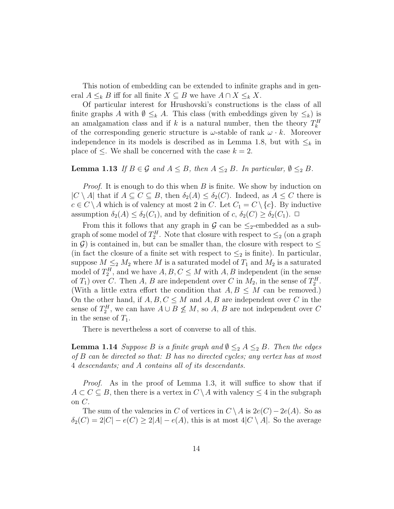This notion of embedding can be extended to infinite graphs and in general  $A \leq_k B$  iff for all finite  $X \subseteq B$  we have  $A \cap X \leq_k X$ .

Of particular interest for Hrushovski's constructions is the class of all finite graphs A with  $\emptyset \leq_k A$ . This class (with embeddings given by  $\leq_k$ ) is an amalgamation class and if k is a natural number, then the theory  $T_k^H$ of the corresponding generic structure is  $\omega$ -stable of rank  $\omega \cdot k$ . Moreover independence in its models is described as in Lemma 1.8, but with  $\leq_k$  in place of  $\leq$ . We shall be concerned with the case  $k = 2$ .

### **Lemma 1.13** If  $B \in \mathcal{G}$  and  $A \leq B$ , then  $A \leq_2 B$ . In particular,  $\emptyset \leq_2 B$ .

*Proof.* It is enough to do this when  $B$  is finite. We show by induction on  $|C \setminus A|$  that if  $A \subseteq C \subseteq B$ , then  $\delta_2(A) \leq \delta_2(C)$ . Indeed, as  $A \leq C$  there is  $c \in C \setminus A$  which is of valency at most 2 in C. Let  $C_1 = C \setminus \{c\}$ . By inductive assumption  $\delta_2(A) \leq \delta_2(C_1)$ , and by definition of  $c, \delta_2(C) \geq \delta_2(C_1)$ .  $\Box$ 

From this it follows that any graph in G can be  $\leq_2$ -embedded as a subgraph of some model of  $T_2^H$ . Note that closure with respect to  $\leq_2$  (on a graph in G) is contained in, but can be smaller than, the closure with respect to  $\leq$ (in fact the closure of a finite set with respect to  $\leq_2$  is finite). In particular, suppose  $M \leq_2 M_2$  where M is a saturated model of  $T_1$  and  $M_2$  is a saturated model of  $T_2^H$ , and we have  $A, B, C \leq M$  with  $A, B$  independent (in the sense of  $T_1$ ) over C. Then A, B are independent over C in  $M_2$ , in the sense of  $T_2^H$ . (With a little extra effort the condition that  $A, B \leq M$  can be removed.) On the other hand, if  $A, B, C \leq M$  and  $A, B$  are independent over C in the sense of  $T_2^H$ , we can have  $A \cup B \nleq M$ , so  $A$ ,  $B$  are not independent over  $C$ in the sense of  $T_1$ .

There is nevertheless a sort of converse to all of this.

**Lemma 1.14** Suppose B is a finite graph and  $\emptyset \leq_2 A \leq_2 B$ . Then the edges of B can be directed so that: B has no directed cycles; any vertex has at most 4 descendants; and A contains all of its descendants.

Proof. As in the proof of Lemma 1.3, it will suffice to show that if  $A \subset C \subset B$ , then there is a vertex in  $C \setminus A$  with valency  $\leq 4$  in the subgraph on  $C$ .

The sum of the valencies in C of vertices in  $C \setminus A$  is  $2e(C) - 2e(A)$ . So as  $\delta_2(C) = 2|C| - e(C) \geq 2|A| - e(A)$ , this is at most  $4|C \setminus A|$ . So the average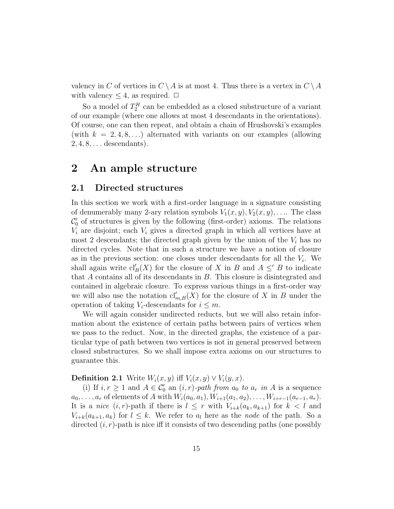valency in C of vertices in  $C \setminus A$  is at most 4. Thus there is a vertex in  $C \setminus A$ with valency  $\leq 4$ , as required.  $\Box$ 

So a model of  $T_2^H$  can be embedded as a closed substructure of a variant of our example (where one allows at most 4 descendants in the orientations). Of course, one can then repeat, and obtain a chain of Hrushovski's examples (with  $k = 2, 4, 8, \ldots$ ) alternated with variants on our examples (allowing  $2, 4, 8, \ldots$  descendants).

### 2 An ample structure

### 2.1 Directed structures

In this section we work with a first-order language in a signature consisting of denumerably many 2-ary relation symbols  $V_1(x, y), V_2(x, y), \ldots$  The class  $\mathcal{C}'_0$  of structures is given by the following (first-order) axioms. The relations  $V_i$  are disjoint; each  $V_i$  gives a directed graph in which all vertices have at most 2 descendants; the directed graph given by the union of the  $V_i$  has no directed cycles. Note that in such a structure we have a notion of closure as in the previous section: one closes under descendants for all the  $V_i$ . We shall again write  $\mathrm{cl}'_B(X)$  for the closure of X in B and  $A \leq B$  to indicate that A contains all of its descendants in B. This closure is disintegrated and contained in algebraic closure. To express various things in a first-order way we will also use the notation  $\mathrm{cl}'_{m,B}(X)$  for the closure of X in B under the operation of taking  $V_i$ -descendants for  $i \leq m$ .

We will again consider undirected reducts, but we will also retain information about the existence of certain paths between pairs of vertices when we pass to the reduct. Now, in the directed graphs, the existence of a particular type of path between two vertices is not in general preserved between closed substructures. So we shall impose extra axioms on our structures to guarantee this.

**Definition 2.1** Write  $W_i(x, y)$  iff  $V_i(x, y) \vee V_i(y, x)$ .

(i) If  $i, r \geq 1$  and  $A \in \mathcal{C}'_0$  an  $(i, r)$ -path from  $a_0$  to  $a_r$  in A is a sequence  $a_0, \ldots, a_r$  of elements of A with  $W_i(a_0, a_1), W_{i+1}(a_1, a_2), \ldots, W_{i+r-1}(a_{r-1}, a_r)$ . It is a nice  $(i, r)$ -path if there is  $l \leq r$  with  $V_{i+k}(a_k, a_{k+1})$  for  $k < l$  and  $V_{i+k}(a_{k+1}, a_k)$  for  $l \leq k$ . We refer to  $a_l$  here as the node of the path. So a directed  $(i, r)$ -path is nice iff it consists of two descending paths (one possibly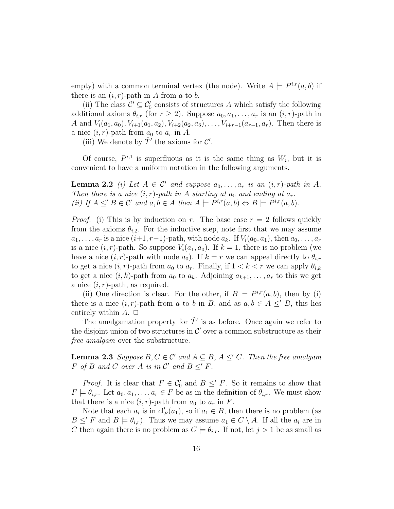empty) with a common terminal vertex (the node). Write  $A \models P^{i,r}(a, b)$  if there is an  $(i, r)$ -path in A from a to b.

(ii) The class  $\mathcal{C}' \subseteq \mathcal{C}'_0$  consists of structures A which satisfy the following additional axioms  $\theta_{i,r}$  (for  $r \geq 2$ ). Suppose  $a_0, a_1, \ldots, a_r$  is an  $(i, r)$ -path in A and  $V_i(a_1, a_0), V_{i+1}(a_1, a_2), V_{i+2}(a_2, a_3), \ldots, V_{i+r-1}(a_{r-1}, a_r)$ . Then there is a nice  $(i, r)$ -path from  $a_0$  to  $a_r$  in A.

(iii) We denote by  $\hat{T}'$  the axioms for  $\mathcal{C}'$ .

Of course,  $P^{i,1}$  is superfluous as it is the same thing as  $W_i$ , but it is convenient to have a uniform notation in the following arguments.

**Lemma 2.2** (i) Let  $A \in \mathcal{C}'$  and suppose  $a_0, \ldots, a_r$  is an  $(i, r)$ -path in A. Then there is a nice  $(i, r)$ -path in A starting at  $a_0$  and ending at  $a_r$ . (ii) If  $A \leq' B \in \mathcal{C}'$  and  $a, b \in A$  then  $A \models P^{i,r}(a, b) \Leftrightarrow B \models P^{i,r}(a, b)$ .

*Proof.* (i) This is by induction on r. The base case  $r = 2$  follows quickly from the axioms  $\theta_{i,2}$ . For the inductive step, note first that we may assume  $a_1, \ldots, a_r$  is a nice  $(i+1, r-1)$ -path, with node  $a_k$ . If  $V_i(a_0, a_1)$ , then  $a_0, \ldots, a_r$ is a nice  $(i, r)$ -path. So suppose  $V_i(a_1, a_0)$ . If  $k = 1$ , there is no problem (we have a nice  $(i, r)$ -path with node  $a_0$ ). If  $k = r$  we can appeal directly to  $\theta_{i,r}$ to get a nice  $(i, r)$ -path from  $a_0$  to  $a_r$ . Finally, if  $1 < k < r$  we can apply  $\theta_{i,k}$ to get a nice  $(i, k)$ -path from  $a_0$  to  $a_k$ . Adjoining  $a_{k+1}, \ldots, a_r$  to this we get a nice  $(i, r)$ -path, as required.

(ii) One direction is clear. For the other, if  $B \models P^{i,r}(a, b)$ , then by (i) there is a nice  $(i, r)$ -path from a to b in B, and as  $a, b \in A \leq B$ , this lies entirely within  $A. \Box$ 

The amalgamation property for  $\hat{T}'$  is as before. Once again we refer to the disjoint union of two structures in  $\mathcal{C}'$  over a common substructure as their free amalgam over the substructure.

**Lemma 2.3** Suppose  $B, C \in \mathcal{C}'$  and  $A \subseteq B, A \leq C$ . Then the free amalgam F of B and C over A is in  $\mathcal{C}'$  and  $B \leq' F$ .

*Proof.* It is clear that  $F \in C'_0$  and  $B \leq' F$ . So it remains to show that  $F \models \theta_{i,r}$ . Let  $a_0, a_1, \ldots, a_r \in F$  be as in the definition of  $\theta_{i,r}$ . We must show that there is a nice  $(i, r)$ -path from  $a_0$  to  $a_r$  in F.

Note that each  $a_i$  is in  $\mathrm{cl}'_F(a_1)$ , so if  $a_1 \in B$ , then there is no problem (as  $B \leq' F$  and  $B \models \theta_{i,r}$ . Thus we may assume  $a_1 \in C \setminus A$ . If all the  $a_i$  are in C then again there is no problem as  $C \models \theta_{i,r}$ . If not, let  $j > 1$  be as small as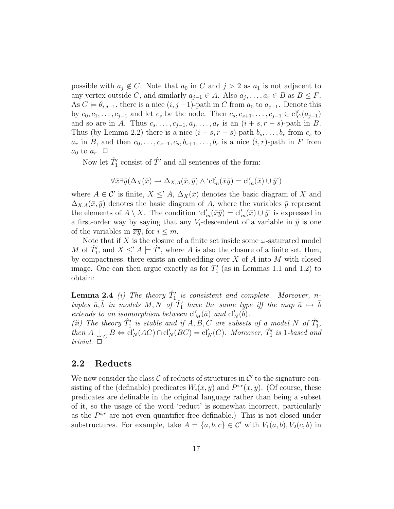possible with  $a_j \notin C$ . Note that  $a_0$  in C and  $j > 2$  as  $a_1$  is not adjacent to any vertex outside C, and similarly  $a_{j-1} \in A$ . Also  $a_j, \ldots, a_r \in B$  as  $B \leq F$ . As  $C \models \theta_{i,j-1}$ , there is a nice  $(i, j-1)$ -path in C from  $a_0$  to  $a_{j-1}$ . Denote this by  $c_0, c_1, \ldots, c_{j-1}$  and let  $c_s$  be the node. Then  $c_s, c_{s+1}, \ldots, c_{j-1} \in \text{cl}'_C(a_{j-1})$ and so are in A. Thus  $c_s, \ldots, c_{j-1}, a_j, \ldots, a_r$  is an  $(i + s, r - s)$ -path in B. Thus (by Lemma 2.2) there is a nice  $(i + s, r - s)$ -path  $b_s, \ldots, b_r$  from  $c_s$  to  $a_r$  in B, and then  $c_0, \ldots, c_{s-1}, c_s, b_{s+1}, \ldots, b_r$  is a nice  $(i, r)$ -path in F from  $a_0$  to  $a_r$ .  $\Box$ 

Now let  $\hat{T}'_1$  consist of  $\hat{T}'$  and all sentences of the form:

$$
\forall \bar{x} \exists \bar{y} (\Delta_X(\bar{x}) \to \Delta_{X,A}(\bar{x},\bar{y}) \wedge \text{`cl}'_m(\bar{x}\bar{y}) = \text{cl}'_m(\bar{x}) \cup \bar{y}')
$$

where  $A \in \mathcal{C}'$  is finite,  $X \leq A$ ,  $\Delta_X(\bar{x})$  denotes the basic diagram of X and  $\Delta_{X,A}(\bar{x}, \bar{y})$  denotes the basic diagram of A, where the variables  $\bar{y}$  represent the elements of  $A \setminus X$ . The condition 'cl'<sub>m</sub>( $\bar{x}y$ ) = cl'<sub>m</sub>( $\bar{x}$ ) ∪  $\bar{y}$ ' is expressed in a first-order way by saying that any  $V_i$ -descendent of a variable in  $\bar{y}$  is one of the variables in  $\overline{xy}$ , for  $i \leq m$ .

Note that if X is the closure of a finite set inside some  $\omega$ -saturated model M of  $\hat{T}_1'$ , and  $X \leq A \models \hat{T}'$ , where A is also the closure of a finite set, then, by compactness, there exists an embedding over  $X$  of  $A$  into  $M$  with closed image. One can then argue exactly as for  $T_1'$  (as in Lemmas 1.1 and 1.2) to obtain:

**Lemma 2.4** (i) The theory  $\hat{T}_1'$  is consistent and complete. Moreover, ntuples  $\bar{a}, \bar{b}$  in models M, N of  $\hat{T}_1'$  have the same type iff the map  $\bar{a} \mapsto \bar{b}$ extends to an isomorphism between  $\text{cl}'_M(\bar{a})$  and  $\text{cl}'_N(\bar{b})$ .

(ii) The theory  $\hat{T}_1'$  is stable and if  $\hat{A}, \hat{B}, \hat{C}$  are subsets of a model N of  $\hat{T}_1'$ , then  $A \perp_C B \Leftrightarrow \text{cl}'_N(AC) \cap \text{cl}'_N(BC) = \text{cl}'_N(C)$ . Moreover,  $\hat{T}'_1$  is 1-based and trivial.  $\square$ 

#### 2.2 Reducts

We now consider the class  $\mathcal C$  of reducts of structures in  $\mathcal C'$  to the signature consisting of the (definable) predicates  $W_i(x, y)$  and  $P^{i,r}(x, y)$ . (Of course, these predicates are definable in the original language rather than being a subset of it, so the usage of the word 'reduct' is somewhat incorrect, particularly as the  $P^{i,r}$  are not even quantifier-free definable.) This is not closed under substructures. For example, take  $A = \{a, b, c\} \in \mathcal{C}'$  with  $V_1(a, b), V_2(c, b)$  in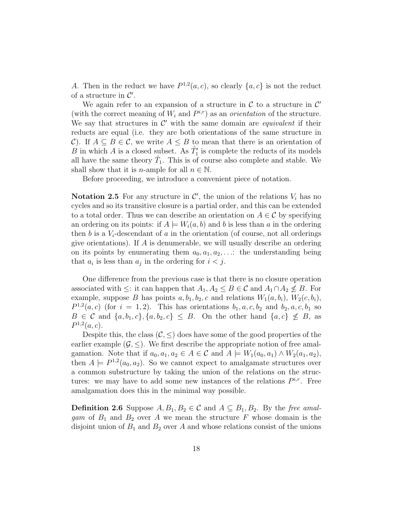A. Then in the reduct we have  $P^{1,2}(a, c)$ , so clearly  $\{a, c\}$  is not the reduct of a structure in  $\mathcal{C}'$ .

We again refer to an expansion of a structure in  $\mathcal C$  to a structure in  $\mathcal C'$ (with the correct meaning of  $W_i$  and  $P^{i,r}$ ) as an *orientation* of the structure. We say that structures in  $\mathcal{C}'$  with the same domain are *equivalent* if their reducts are equal (i.e. they are both orientations of the same structure in C). If  $A \subseteq B \in \mathcal{C}$ , we write  $A \leq B$  to mean that there is an orientation of B in which A is a closed subset. As  $\hat{T}_1'$  is complete the reducts of its models all have the same theory  $\hat{T}_1$ . This is of course also complete and stable. We shall show that it is *n*-ample for all  $n \in \mathbb{N}$ .

Before proceeding, we introduce a convenient piece of notation.

Notation 2.5 For any structure in  $\mathcal{C}'$ , the union of the relations  $V_i$  has no cycles and so its transitive closure is a partial order, and this can be extended to a total order. Thus we can describe an orientation on  $A \in \mathcal{C}$  by specifying an ordering on its points: if  $A \models W_i(a, b)$  and b is less than a in the ordering then b is a  $V_i$ -descendant of a in the orientation (of course, not all orderings give orientations). If  $A$  is denumerable, we will usually describe an ordering on its points by enumerating them  $a_0, a_1, a_2, \ldots$ : the understanding being that  $a_i$  is less than  $a_j$  in the ordering for  $i < j$ .

One difference from the previous case is that there is no closure operation associated with  $\leq$ : it can happen that  $A_1, A_2 \leq B \in \mathcal{C}$  and  $A_1 \cap A_2 \nleq B$ . For example, suppose B has points  $a, b_1, b_2, c$  and relations  $W_1(a, b_i), W_2(c, b_i),$  $P^{1,2}(a, c)$  (for  $i = 1, 2$ ). This has orientations  $b_1, a, c, b_2$  and  $b_2, a, c, b_1$  so  $B \in \mathcal{C}$  and  $\{a, b_1, c\}, \{a, b_2, c\} \leq B$ . On the other hand  $\{a, c\} \not\leq B$ , as  $P^{1,2}(a, c).$ 

Despite this, the class  $(C, \leq)$  does have some of the good properties of the earlier example  $(G, \leq)$ . We first describe the appropriate notion of free amalgamation. Note that if  $a_0, a_1, a_2 \in A \in \mathcal{C}$  and  $A \models W_1(a_0, a_1) \wedge W_2(a_1, a_2)$ , then  $A \models P^{1,2}(a_0, a_2)$ . So we cannot expect to amalgamate structures over a common substructure by taking the union of the relations on the structures: we may have to add some new instances of the relations  $P^{i,r}$ . Free amalgamation does this in the minimal way possible.

**Definition 2.6** Suppose  $A, B_1, B_2 \in \mathcal{C}$  and  $A \subseteq B_1, B_2$ . By the free amalgam of  $B_1$  and  $B_2$  over A we mean the structure F whose domain is the disjoint union of  $B_1$  and  $B_2$  over A and whose relations consist of the unions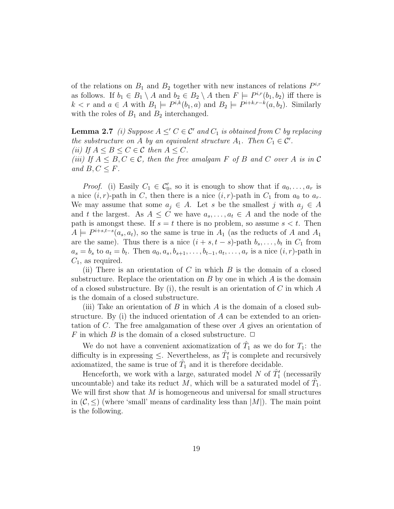of the relations on  $B_1$  and  $B_2$  together with new instances of relations  $P^{i,r}$ as follows. If  $b_1 \in B_1 \setminus A$  and  $b_2 \in B_2 \setminus A$  then  $F \models P^{i,r}(b_1, b_2)$  iff there is  $k < r$  and  $a \in A$  with  $B_1 \models P^{i,k}(b_1, a)$  and  $B_2 \models P^{i+k,r-k}(a, b_2)$ . Similarly with the roles of  $B_1$  and  $B_2$  interchanged.

**Lemma 2.7** (i) Suppose  $A \leq C \in \mathcal{C}'$  and  $C_1$  is obtained from C by replacing the substructure on A by an equivalent structure  $A_1$ . Then  $C_1 \in \mathcal{C}'$ . (ii) If  $A \leq B \leq C \in \mathcal{C}$  then  $A \leq C$ . (iii) If  $A \leq B, C \in \mathcal{C}$ , then the free amalgam F of B and C over A is in C and  $B, C \leq F$ .

*Proof.* (i) Easily  $C_1 \in C'_0$ , so it is enough to show that if  $a_0, \ldots, a_r$  is a nice  $(i, r)$ -path in C, then there is a nice  $(i, r)$ -path in  $C_1$  from  $a_0$  to  $a_r$ . We may assume that some  $a_j \in A$ . Let s be the smallest j with  $a_j \in A$ and t the largest. As  $A \leq C$  we have  $a_s, \ldots, a_t \in A$  and the node of the path is amongst these. If  $s = t$  there is no problem, so assume  $s < t$ . Then  $A \models P^{i+s,t-s}(a_s, a_t)$ , so the same is true in  $A_1$  (as the reducts of A and  $A_1$ are the same). Thus there is a nice  $(i + s, t - s)$ -path  $b_s, \ldots, b_t$  in  $C_1$  from  $a_s = b_s$  to  $a_t = b_t$ . Then  $a_0, a_s, b_{s+1}, \ldots, b_{t-1}, a_t, \ldots, a_r$  is a nice  $(i, r)$ -path in  $C_1$ , as required.

(ii) There is an orientation of C in which  $B$  is the domain of a closed substructure. Replace the orientation on  $B$  by one in which  $A$  is the domain of a closed substructure. By (i), the result is an orientation of  $C$  in which  $A$ is the domain of a closed substructure.

(iii) Take an orientation of  $B$  in which  $A$  is the domain of a closed substructure. By (i) the induced orientation of A can be extended to an orientation of C. The free amalgamation of these over A gives an orientation of F in which B is the domain of a closed substructure.  $\Box$ 

We do not have a convenient axiomatization of  $\hat{T}_1$  as we do for  $T_1$ : the difficulty is in expressing  $\leq$ . Nevertheless, as  $\hat{T}'_1$  is complete and recursively axiomatized, the same is true of  $\hat{T}_1$  and it is therefore decidable.

Henceforth, we work with a large, saturated model N of  $\hat{T}'_1$  (necessarily uncountable) and take its reduct  $M$ , which will be a saturated model of  $\hat{T}_1$ . We will first show that  $M$  is homogeneous and universal for small structures in  $(C, \leq)$  (where 'small' means of cardinality less than  $|M|$ ). The main point is the following.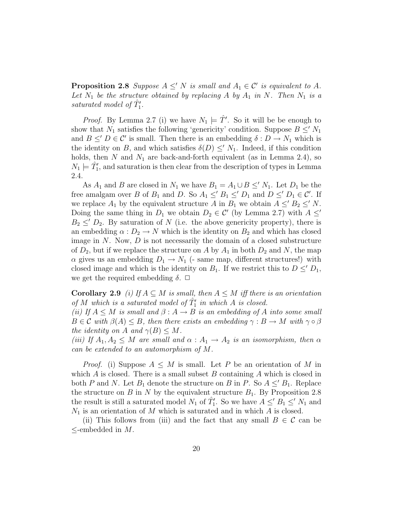**Proposition 2.8** Suppose  $A \leq' N$  is small and  $A_1 \in \mathcal{C}'$  is equivalent to A. Let  $N_1$  be the structure obtained by replacing A by  $A_1$  in N. Then  $N_1$  is a saturated model of  $\hat{T}_1'$ .

*Proof.* By Lemma 2.7 (i) we have  $N_1 \models \hat{T}'$ . So it will be be enough to show that  $N_1$  satisfies the following 'genericity' condition. Suppose  $B \le N_1$ and  $B \leq' D \in \mathcal{C}'$  is small. Then there is an embedding  $\delta : D \to N_1$  which is the identity on B, and which satisfies  $\delta(D) \leq N_1$ . Indeed, if this condition holds, then N and  $N_1$  are back-and-forth equivalent (as in Lemma 2.4), so  $N_1 \models \hat{T}'_1$ , and saturation is then clear from the description of types in Lemma 2.4.

As  $A_1$  and B are closed in  $N_1$  we have  $B_1 = A_1 \cup B \leq N_1$ . Let  $D_1$  be the free amalgam over B of  $B_1$  and D. So  $A_1 \leq' B_1 \leq' D_1$  and  $D \leq' D_1 \in \mathcal{C}'$ . If we replace  $A_1$  by the equivalent structure A in  $B_1$  we obtain  $A \leq B_2 \leq N$ . Doing the same thing in  $D_1$  we obtain  $D_2 \in \mathcal{C}'$  (by Lemma 2.7) with  $A \leq'$  $B_2 \leq' D_2$ . By saturation of N (i.e. the above genericity property), there is an embedding  $\alpha : D_2 \to N$  which is the identity on  $B_2$  and which has closed image in  $N$ . Now,  $D$  is not necessarily the domain of a closed substructure of  $D_2$ , but if we replace the structure on A by  $A_1$  in both  $D_2$  and N, the map  $\alpha$  gives us an embedding  $D_1 \rightarrow N_1$  (- same map, different structures!) with closed image and which is the identity on  $B_1$ . If we restrict this to  $D \leq D_1$ , we get the required embedding  $\delta$ .  $\Box$ 

**Corollary 2.9** (i) If  $A \subseteq M$  is small, then  $A \leq M$  iff there is an orientation of M which is a saturated model of  $\hat{T}_1'$  in which A is closed.

(ii) If  $A \leq M$  is small and  $\beta : A \rightarrow B$  is an embedding of A into some small  $B \in \mathcal{C}$  with  $\beta(A) \leq B$ , then there exists an embedding  $\gamma : B \to M$  with  $\gamma \circ \beta$ the identity on A and  $\gamma(B) \leq M$ .

(iii) If  $A_1, A_2 \leq M$  are small and  $\alpha : A_1 \to A_2$  is an isomorphism, then  $\alpha$ can be extended to an automorphism of M.

*Proof.* (i) Suppose  $A \leq M$  is small. Let P be an orientation of M in which  $A$  is closed. There is a small subset  $B$  containing  $A$  which is closed in both P and N. Let  $B_1$  denote the structure on B in P. So  $A \leq B_1$ . Replace the structure on B in N by the equivalent structure  $B_1$ . By Proposition 2.8 the result is still a saturated model  $N_1$  of  $\hat{T}'_1$ . So we have  $A \leq B_1 \leq N_1$  and  $N_1$  is an orientation of M which is saturated and in which A is closed.

(ii) This follows from (iii) and the fact that any small  $B \in \mathcal{C}$  can be  $\leq$ -embedded in M.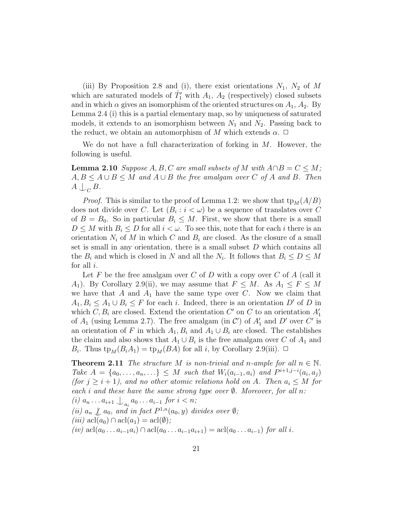(iii) By Proposition 2.8 and (i), there exist orientations  $N_1$ ,  $N_2$  of M which are saturated models of  $\hat{T}'_1$  with  $A_1$ ,  $A_2$  (respectively) closed subsets and in which  $\alpha$  gives an isomorphism of the oriented structures on  $A_1$ ,  $A_2$ . By Lemma 2.4 (i) this is a partial elementary map, so by uniqueness of saturated models, it extends to an isomorphism between  $N_1$  and  $N_2$ . Passing back to the reduct, we obtain an automorphism of M which extends  $\alpha$ .  $\Box$ 

We do not have a full characterization of forking in  $M$ . However, the following is useful.

**Lemma 2.10** Suppose  $A, B, C$  are small subsets of M with  $A \cap B = C \leq M$ ;  $A, B \leq A \cup B \leq M$  and  $A \cup B$  the free amalgam over C of A and B. Then  $A \bigcup_C B$ .

*Proof.* This is similar to the proof of Lemma 1.2: we show that  $tp_M(A/B)$ does not divide over C. Let  $(B_i : i < \omega)$  be a sequence of translates over C of  $B = B_0$ . So in particular  $B_i \leq M$ . First, we show that there is a small  $D \leq M$  with  $B_i \leq D$  for all  $i < \omega$ . To see this, note that for each i there is an orientation  $N_i$  of M in which C and  $B_i$  are closed. As the closure of a small set is small in any orientation, there is a small subset D which contains all the  $B_i$  and which is closed in N and all the  $N_i$ . It follows that  $B_i \leq D \leq M$ for all  $i$ .

Let F be the free amalgam over C of D with a copy over C of A (call it A<sub>1</sub>). By Corollary 2.9(ii), we may assume that  $F \leq M$ . As  $A_1 \leq F \leq M$ we have that A and  $A_1$  have the same type over C. Now we claim that  $A_1, B_i \leq A_1 \cup B_i \leq F$  for each i. Indeed, there is an orientation D' of D in which  $C, B_i$  are closed. Extend the orientation  $C'$  on  $C$  to an orientation  $A'_1$ of  $A_1$  (using Lemma 2.7). The free amalgam (in C') of  $A'_1$  and D' over C' is an orientation of F in which  $A_1, B_i$  and  $A_1 \cup B_i$  are closed. The establishes the claim and also shows that  $A_1 \cup B_i$  is the free amalgam over C of  $A_1$  and  $B_i$ . Thus  $tp_M(B_iA_1) = tp_M(BA)$  for all *i*, by Corollary 2.9(iii).  $\Box$ 

**Theorem 2.11** The structure M is non-trivial and n-ample for all  $n \in \mathbb{N}$ . Take  $A = \{a_0, ..., a_n, ...\} \leq M$  such that  $W_i(a_{i-1}, a_i)$  and  $P^{i+1,j-i}(a_i, a_j)$ (for  $j \geq i + 1$ ), and no other atomic relations hold on A. Then  $a_i \leq M$  for each i and these have the same strong type over  $\emptyset$ . Moreover, for all n: (*i*)  $a_n \ldots a_{i+1} \bigcup_{a_i} a_0 \ldots a_{i-1}$  for  $i < n;$ (ii)  $a_n \nsubseteq a_0$ , and in fact  $P^{1,n}(a_0, y)$  divides over  $\emptyset$ ;  $(iii)$  acl $(a_0) \cap \text{acl}(a_1) = \text{acl}(\emptyset);$ (iv)  $\text{acl}(a_0 \ldots a_{i-1}a_i) \cap \text{acl}(a_0 \ldots a_{i-1}a_{i+1}) = \text{acl}(a_0 \ldots a_{i-1})$  for all i.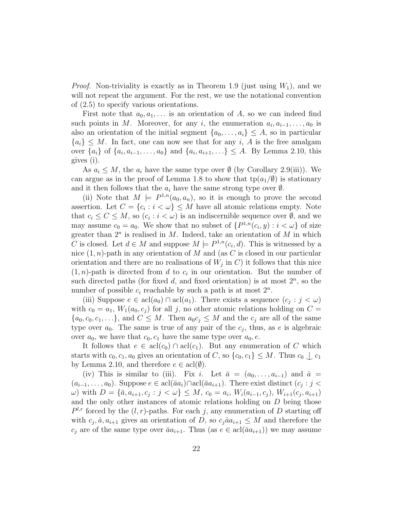*Proof.* Non-triviality is exactly as in Theorem 1.9 (just using  $W_1$ ), and we will not repeat the argument. For the rest, we use the notational convention of (2.5) to specify various orientations.

First note that  $a_0, a_1, \ldots$  is an orientation of A, so we can indeed find such points in M. Moreover, for any i, the enumeration  $a_i, a_{i-1}, \ldots, a_0$  is also an orientation of the initial segment  $\{a_0, \ldots, a_i\} \leq A$ , so in particular  ${a_i} \leq M$ . In fact, one can now see that for any i, A is the free amalgam over  $\{a_i\}$  of  $\{a_i, a_{i-1}, \ldots, a_0\}$  and  $\{a_i, a_{i+1}, \ldots\} \leq A$ . By Lemma 2.10, this gives (i).

As  $a_i \leq M$ , the  $a_i$  have the same type over  $\emptyset$  (by Corollary 2.9(iii)). We can argue as in the proof of Lemma 1.8 to show that  $tp(a_1/\emptyset)$  is stationary and it then follows that the  $a_i$  have the same strong type over  $\emptyset$ .

(ii) Note that  $M \models P^{1,n}(a_0,a_n)$ , so it is enough to prove the second assertion. Let  $C = \{c_i : i < \omega\} \leq M$  have all atomic relations empty. Note that  $c_i \leq C \leq M$ , so  $(c_i : i < \omega)$  is an indiscernible sequence over  $\emptyset$ , and we may assume  $c_0 = a_0$ . We show that no subset of  $\{P^{1,n}(c_i, y) : i < \omega\}$  of size greater than  $2^n$  is realised in M. Indeed, take an orientation of M in which C is closed. Let  $d \in M$  and suppose  $M \models P^{1,n}(c_i, d)$ . This is witnessed by a nice  $(1, n)$ -path in any orientation of M and (as C is closed in our particular orientation and there are no realisations of  $W_j$  in C) it follows that this nice  $(1, n)$ -path is directed from d to  $c_i$  in our orientation. But the number of such directed paths (for fixed  $d$ , and fixed orientation) is at most  $2^n$ , so the number of possible  $c_i$  reachable by such a path is at most  $2^n$ .

(iii) Suppose  $e \in \text{acl}(a_0) \cap \text{acl}(a_1)$ . There exists a sequence  $(c_j : j < \omega)$ with  $c_0 = a_1$ ,  $W_1(a_0, c_i)$  for all j, no other atomic relations holding on  $C =$  $\{a_0, c_0, c_1, \ldots\}$ , and  $C \leq M$ . Then  $a_0 c_j \leq M$  and the  $c_j$  are all of the same type over  $a_0$ . The same is true of any pair of the  $c_j$ , thus, as e is algebraic over  $a_0$ , we have that  $c_0$ ,  $c_1$  have the same type over  $a_0$ ,  $e$ .

It follows that  $e \in \text{acl}(c_0) \cap \text{acl}(c_1)$ . But any enumeration of C which starts with  $c_0, c_1, a_0$  gives an orientation of C, so  $\{c_0, c_1\} \leq M$ . Thus  $c_0 \bigcup c_1$ by Lemma 2.10, and therefore  $e \in \text{acl}(\emptyset)$ .

(iv) This is similar to (iii). Fix i. Let  $\bar{a} = (a_0, \ldots, a_{i-1})$  and  $\hat{a} =$  $(a_{i-1},\ldots,a_0)$ . Suppose  $e \in \text{acl}(\bar{a}a_i) \cap \text{acl}(\bar{a}a_{i+1})$ . There exist distinct  $(c_j : j <$  $\omega$ ) with  $D = {\bar{a}, a_{i+1}, c_j : j < \omega} \leq M$ ,  $c_0 = a_i$ ,  $W_i(a_{i-1}, c_j)$ ,  $W_{i+1}(c_j, a_{i+1})$ and the only other instances of atomic relations holding on D being those  $P^{l,r}$  forced by the  $(l,r)$ -paths. For each j, any enumeration of D starting off with  $c_j, \hat{a}, a_{i+1}$  gives an orientation of D, so  $c_j \hat{a} a_{i+1} \leq M$  and therefore the  $c_j$  are of the same type over  $\bar{a}a_{i+1}$ . Thus (as  $e \in \text{acl}(\bar{a}a_{i+1})$ ) we may assume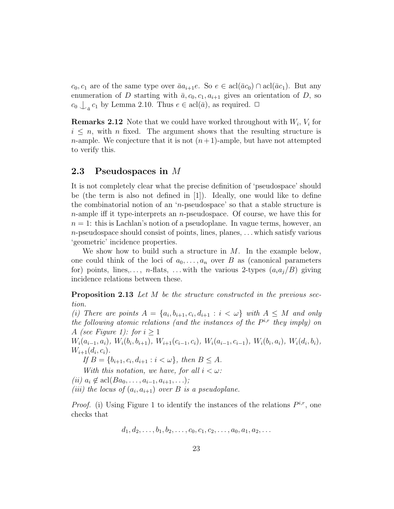$c_0, c_1$  are of the same type over  $\bar{a}a_{i+1}e$ . So  $e \in \text{acl}(\bar{a}c_0) \cap \text{acl}(\bar{a}c_1)$ . But any enumeration of D starting with  $\bar{a}$ ,  $c_0$ ,  $c_1$ ,  $a_{i+1}$  gives an orientation of D, so  $c_0 \bigcup_{\bar{a}} c_1$  by Lemma 2.10. Thus  $e \in \text{acl}(\bar{a})$ , as required.  $\Box$ 

**Remarks 2.12** Note that we could have worked throughout with  $W_i$ ,  $V_i$  for  $i \leq n$ , with n fixed. The argument shows that the resulting structure is *n*-ample. We conjecture that it is not  $(n+1)$ -ample, but have not attempted to verify this.

#### 2.3 Pseudospaces in M

It is not completely clear what the precise definition of 'pseudospace' should be (the term is also not defined in [1]). Ideally, one would like to define the combinatorial notion of an 'n-pseudospace' so that a stable structure is  $n$ -ample iff it type-interprets an  $n$ -pseudospace. Of course, we have this for  $n = 1$ : this is Lachlan's notion of a pseudoplane. In vague terms, however, an n-pseudospace should consist of points, lines, planes, . . . which satisfy various 'geometric' incidence properties.

We show how to build such a structure in  $M$ . In the example below, one could think of the loci of  $a_0, \ldots, a_n$  over B as (canonical parameters for) points, lines,..., n-flats, ... with the various 2-types  $(a_i a_j / B)$  giving incidence relations between these.

Proposition 2.13 Let M be the structure constructed in the previous section.

(i) There are points  $A = \{a_i, b_{i+1}, c_i, d_{i+1} : i < \omega\}$  with  $A \leq M$  and only the following atomic relations (and the instances of the  $P^{i,r}$  they imply) on A (see Figure 1): for  $i \geq 1$ 

 $W_i(a_{i-1}, a_i), W_i(b_i, b_{i+1}), W_{i+1}(c_{i-1}, c_i), W_i(a_{i-1}, c_{i-1}), W_i(b_i, a_i), W_i(d_i, b_i),$  $W_{i+1}(d_i, c_i)$ .

If  $B = \{b_{i+1}, c_i, d_{i+1} : i < \omega\}$ , then  $B \leq A$ .

With this notation, we have, for all  $i < \omega$ :

(*ii*)  $a_i \notin \text{acl}(Ba_0, \ldots, a_{i-1}, a_{i+1}, \ldots);$ 

(iii) the locus of  $(a_i, a_{i+1})$  over B is a pseudoplane.

*Proof.* (i) Using Figure 1 to identify the instances of the relations  $P^{i,r}$ , one checks that

$$
d_1, d_2, \ldots, b_1, b_2, \ldots, c_0, c_1, c_2, \ldots, a_0, a_1, a_2, \ldots
$$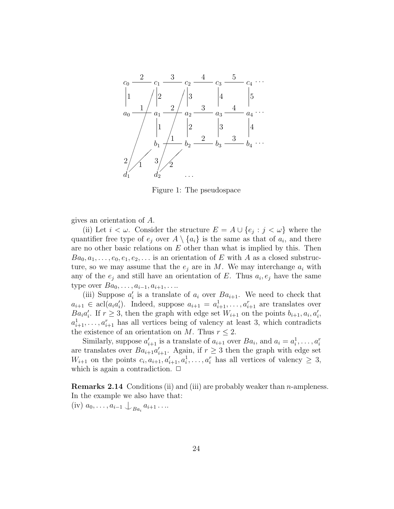

Figure 1: The pseudospace

gives an orientation of A.

(ii) Let  $i < \omega$ . Consider the structure  $E = A \cup \{e_j : j < \omega\}$  where the quantifier free type of  $e_j$  over  $A \setminus \{a_i\}$  is the same as that of  $a_i$ , and there are no other basic relations on  $E$  other than what is implied by this. Then  $Ba_0, a_1, \ldots, e_0, e_1, e_2, \ldots$  is an orientation of E with A as a closed substructure, so we may assume that the  $e_i$  are in M. We may interchange  $a_i$  with any of the  $e_j$  and still have an orientation of E. Thus  $a_i, e_j$  have the same type over  $Ba_0, \ldots, a_{i-1}, a_{i+1}, \ldots$ 

(iii) Suppose  $a'_i$  is a translate of  $a_i$  over  $Ba_{i+1}$ . We need to check that  $a_{i+1} \in \text{acl}(a_i a_i')$ . Indeed, suppose  $a_{i+1} = a_{i+1}^1, \ldots, a_{i+1}^r$  are translates over  $Ba_i a'_i$ . If  $r \geq 3$ , then the graph with edge set  $W_{i+1}$  on the points  $b_{i+1}, a_i, a'_i$ ,  $a_{i+1}^1, \ldots, a_{i+1}^r$  has all vertices being of valency at least 3, which contradicts the existence of an orientation on M. Thus  $r \leq 2$ .

Similarly, suppose  $a'_{i+1}$  is a translate of  $a_{i+1}$  over  $Ba_i$ , and  $a_i = a_i^1, \ldots, a_i^n$ are translates over  $Ba_{i+1}a'_{i+1}$ . Again, if  $r \geq 3$  then the graph with edge set  $W_{i+1}$  on the points  $c_i, a_{i+1}, a'_{i+1}, a^1_i, \ldots, a^n_i$  has all vertices of valency  $\geq 3$ , which is again a contradiction.  $\Box$ 

Remarks 2.14 Conditions (ii) and (iii) are probably weaker than n-ampleness. In the example we also have that:

(iv)  $a_0, \ldots, a_{i-1} \bigcup_{Ba_i} a_{i+1} \ldots$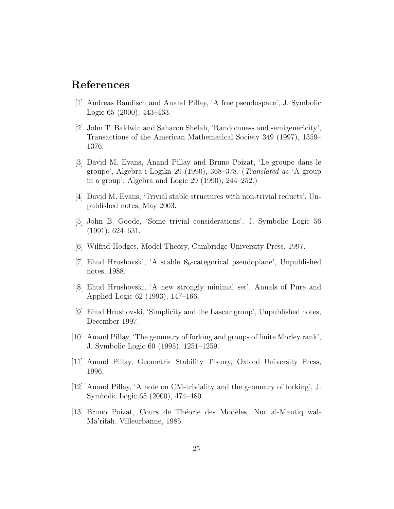### References

- [1] Andreas Baudisch and Anand Pillay, 'A free pseudospace', J. Symbolic Logic 65 (2000), 443–463.
- [2] John T. Baldwin and Saharon Shelah, 'Randomness and semigenericity', Transactions of the American Mathematical Society 349 (1997), 1359– 1376.
- [3] David M. Evans, Anand Pillay and Bruno Poizat, 'Le groupe dans le groupe', Algebra i Logika 29 (1990), 368–378. (Translated as 'A group in a group', Algebra and Logic 29 (1990), 244–252.)
- [4] David M. Evans, 'Trivial stable structures with non-trivial reducts', Unpublished notes, May 2003.
- [5] John B. Goode, 'Some trivial considerations', J. Symbolic Logic 56 (1991), 624–631.
- [6] Wilfrid Hodges, Model Theory, Cambridge University Press, 1997.
- [7] Ehud Hrushovski, 'A stable  $\aleph_0$ -categorical pseudoplane', Unpublished notes, 1988.
- [8] Ehud Hrushovski, 'A new strongly minimal set', Annals of Pure and Applied Logic 62 (1993), 147–166.
- [9] Ehud Hrushovski, 'Simplicity and the Lascar group', Unpublished notes, December 1997.
- [10] Anand Pillay, 'The geometry of forking and groups of finite Morley rank', J. Symbolic Logic 60 (1995), 1251–1259.
- [11] Anand Pillay, Geometric Stability Theory, Oxford University Press, 1996.
- [12] Anand Pillay, 'A note on CM-triviality and the geometry of forking', J. Symbolic Logic 65 (2000), 474–480.
- [13] Bruno Poizat, Cours de Théorie des Modèles, Nur al-Mantiq wal-Ma'rifah, Villeurbanne, 1985.